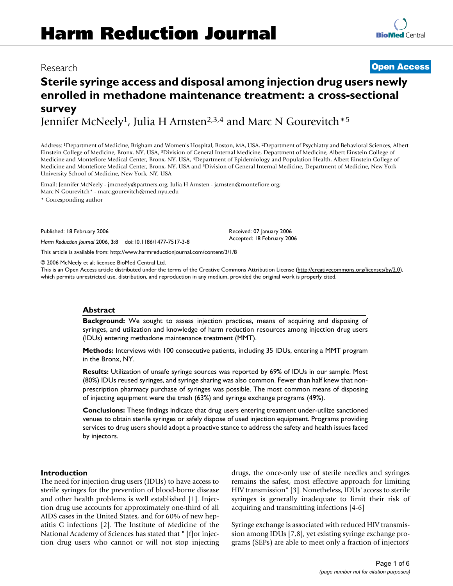# **Sterile syringe access and disposal among injection drug users newly enrolled in methadone maintenance treatment: a cross-sectional survey**

Jennifer McNeely<sup>1</sup>, Julia H Arnsten<sup>2,3,4</sup> and Marc N Gourevitch<sup>\*5</sup>

Address: 1Department of Medicine, Brigham and Women's Hospital, Boston, MA, USA, 2Department of Psychiatry and Behavioral Sciences, Albert Einstein College of Medicine, Bronx, NY, USA, 3Division of General Internal Medicine, Department of Medicine, Albert Einstein College of Medicine and Montefiore Medical Center, Bronx, NY, USA, 4Department of Epidemiology and Population Health, Albert Einstein College of Medicine and Montefiore Medical Center, Bronx, NY, USA and 5Division of General Internal Medicine, Department of Medicine, New York University School of Medicine, New York, NY, USA

Email: Jennifer McNeely - jmcneely@partners.org; Julia H Arnsten - jarnsten@montefiore.org; Marc N Gourevitch\* - marc.gourevitch@med.nyu.edu

\* Corresponding author

Published: 18 February 2006

*Harm Reduction Journal* 2006, **3**:8 doi:10.1186/1477-7517-3-8

[This article is available from: http://www.harmreductionjournal.com/content/3/1/8](http://www.harmreductionjournal.com/content/3/1/8)

© 2006 McNeely et al; licensee BioMed Central Ltd.

This is an Open Access article distributed under the terms of the Creative Commons Attribution License [\(http://creativecommons.org/licenses/by/2.0\)](http://creativecommons.org/licenses/by/2.0), which permits unrestricted use, distribution, and reproduction in any medium, provided the original work is properly cited.

#### **Abstract**

**Background:** We sought to assess injection practices, means of acquiring and disposing of syringes, and utilization and knowledge of harm reduction resources among injection drug users (IDUs) entering methadone maintenance treatment (MMT).

**Methods:** Interviews with 100 consecutive patients, including 35 IDUs, entering a MMT program in the Bronx, NY.

**Results:** Utilization of unsafe syringe sources was reported by 69% of IDUs in our sample. Most (80%) IDUs reused syringes, and syringe sharing was also common. Fewer than half knew that nonprescription pharmacy purchase of syringes was possible. The most common means of disposing of injecting equipment were the trash (63%) and syringe exchange programs (49%).

**Conclusions:** These findings indicate that drug users entering treatment under-utilize sanctioned venues to obtain sterile syringes or safely dispose of used injection equipment. Programs providing services to drug users should adopt a proactive stance to address the safety and health issues faced by injectors.

### **Introduction**

The need for injection drug users (IDUs) to have access to sterile syringes for the prevention of blood-borne disease and other health problems is well established [1]. Injection drug use accounts for approximately one-third of all AIDS cases in the United States, and for 60% of new hepatitis C infections [2]. The Institute of Medicine of the National Academy of Sciences has stated that " [f]or injection drug users who cannot or will not stop injecting drugs, the once-only use of sterile needles and syringes remains the safest, most effective approach for limiting HIV transmission" [3]. Nonetheless, IDUs' access to sterile syringes is generally inadequate to limit their risk of acquiring and transmitting infections [4-6]

Syringe exchange is associated with reduced HIV transmission among IDUs [7,8], yet existing syringe exchange programs (SEPs) are able to meet only a fraction of injectors'

# Research **[Open Access](http://www.biomedcentral.com/info/about/charter/)**

Received: 07 January 2006 Accepted: 18 February 2006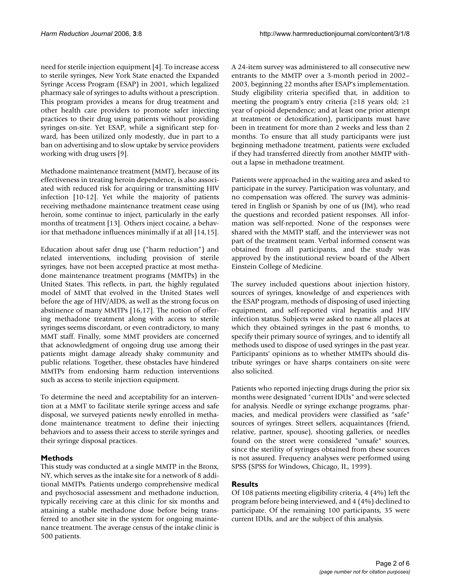need for sterile injection equipment [4]. To increase access to sterile syringes, New York State enacted the Expanded Syringe Access Program (ESAP) in 2001, which legalized pharmacy sale of syringes to adults without a prescription. This program provides a means for drug treatment and other health care providers to promote safer injecting practices to their drug using patients without providing syringes on-site. Yet ESAP, while a significant step forward, has been utilized only modestly, due in part to a ban on advertising and to slow uptake by service providers working with drug users [9].

Methadone maintenance treatment (MMT), because of its effectiveness in treating heroin dependence, is also associated with reduced risk for acquiring or transmitting HIV infection [10-12]. Yet while the majority of patients receiving methadone maintenance treatment cease using heroin, some continue to inject, particularly in the early months of treatment [13]. Others inject cocaine, a behavior that methadone influences minimally if at all [14,15].

Education about safer drug use ("harm reduction") and related interventions, including provision of sterile syringes, have not been accepted practice at most methadone maintenance treatment programs (MMTPs) in the United States. This reflects, in part, the highly regulated model of MMT that evolved in the United States well before the age of HIV/AIDS, as well as the strong focus on abstinence of many MMTPs [16,17]. The notion of offering methadone treatment along with access to sterile syringes seems discordant, or even contradictory, to many MMT staff. Finally, some MMT providers are concerned that acknowledgment of ongoing drug use among their patients might damage already shaky community and public relations. Together, these obstacles have hindered MMTPs from endorsing harm reduction interventions such as access to sterile injection equipment.

To determine the need and acceptability for an intervention at a MMT to facilitate sterile syringe access and safe disposal, we surveyed patients newly enrolled in methadone maintenance treatment to define their injecting behaviors and to assess their access to sterile syringes and their syringe disposal practices.

# **Methods**

This study was conducted at a single MMTP in the Bronx, NY, which serves as the intake site for a network of 8 additional MMTPs. Patients undergo comprehensive medical and psychosocial assessment and methadone induction, typically receiving care at this clinic for six months and attaining a stable methadone dose before being transferred to another site in the system for ongoing maintenance treatment. The average census of the intake clinic is 500 patients.

A 24-item survey was administered to all consecutive new entrants to the MMTP over a 3-month period in 2002– 2003, beginning 22 months after ESAP's implementation. Study eligibility criteria specified that, in addition to meeting the program's entry criteria ( $\geq 18$  years old;  $\geq 1$ year of opioid dependence; and at least one prior attempt at treatment or detoxification), participants must have been in treatment for more than 2 weeks and less than 2 months. To ensure that all study participants were just beginning methadone treatment, patients were excluded if they had transferred directly from another MMTP without a lapse in methadone treatment.

Patients were approached in the waiting area and asked to participate in the survey. Participation was voluntary, and no compensation was offered. The survey was administered in English or Spanish by one of us (JM), who read the questions and recorded patient responses. All information was self-reported. None of the responses were shared with the MMTP staff, and the interviewer was not part of the treatment team. Verbal informed consent was obtained from all participants, and the study was approved by the institutional review board of the Albert Einstein College of Medicine.

The survey included questions about injection history, sources of syringes, knowledge of and experiences with the ESAP program, methods of disposing of used injecting equipment, and self-reported viral hepatitis and HIV infection status. Subjects were asked to name all places at which they obtained syringes in the past 6 months, to specify their primary source of syringes, and to identify all methods used to dispose of used syringes in the past year. Participants' opinions as to whether MMTPs should distribute syringes or have sharps containers on-site were also solicited.

Patients who reported injecting drugs during the prior six months were designated "current IDUs" and were selected for analysis. Needle or syringe exchange programs, pharmacies, and medical providers were classified as "safe" sources of syringes. Street sellers, acquaintances (friend, relative, partner, spouse), shooting galleries, or needles found on the street were considered "unsafe" sources, since the sterility of syringes obtained from these sources is not assured. Frequency analyses were performed using SPSS (SPSS for Windows, Chicago, IL, 1999).

# **Results**

Of 108 patients meeting eligibility criteria, 4 (4%) left the program before being interviewed, and 4 (4%) declined to participate. Of the remaining 100 participants, 35 were current IDUs, and are the subject of this analysis.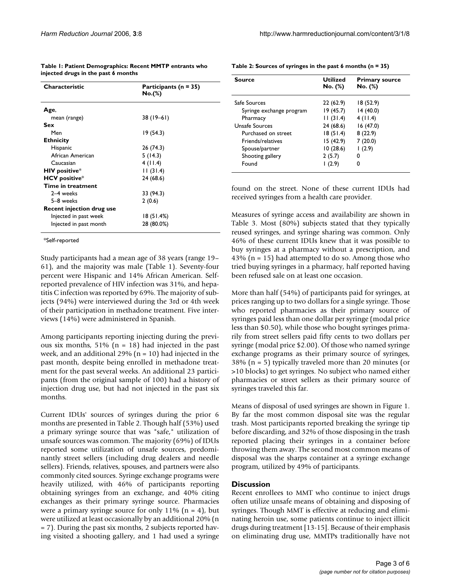| Characteristic            | Participants ( $n = 35$ )<br>No.(%) |  |
|---------------------------|-------------------------------------|--|
| Age,                      |                                     |  |
| mean (range)              | $38(19-61)$                         |  |
| <b>Sex</b>                |                                     |  |
| Men                       | 19(54.3)                            |  |
| <b>Ethnicity</b>          |                                     |  |
| Hispanic                  | 26 (74.3)                           |  |
| African American          | 5(14.3)                             |  |
| Caucasian                 | 4(11.4)                             |  |
| <b>HIV</b> positive*      | 11(31.4)                            |  |
| <b>HCV</b> positive*      | 24 (68.6)                           |  |
| Time in treatment         |                                     |  |
| 2-4 weeks                 | 33 (94.3)                           |  |
| 5-8 weeks                 | 2(0.6)                              |  |
| Recent injection drug use |                                     |  |
| Injected in past week     | 18(51.4%)                           |  |
| Injected in past month    | 28 (80.0%)                          |  |

| Table 1: Patient Demographics: Recent MMTP entrants who |  |
|---------------------------------------------------------|--|
| injected drugs in the past 6 months                     |  |

\*Self-reported

Study participants had a mean age of 38 years (range 19– 61), and the majority was male (Table 1). Seventy-four percent were Hispanic and 14% African American. Selfreported prevalence of HIV infection was 31%, and hepatitis C infection was reported by 69%. The majority of subjects (94%) were interviewed during the 3rd or 4th week of their participation in methadone treatment. Five interviews (14%) were administered in Spanish.

Among participants reporting injecting during the previous six months,  $51\%$  (n = 18) had injected in the past week, and an additional 29% ( $n = 10$ ) had injected in the past month, despite being enrolled in methadone treatment for the past several weeks. An additional 23 participants (from the original sample of 100) had a history of injection drug use, but had not injected in the past six months.

Current IDUs' sources of syringes during the prior 6 months are presented in Table 2. Though half (53%) used a primary syringe source that was "safe," utilization of unsafe sources was common. The majority (69%) of IDUs reported some utilization of unsafe sources, predominantly street sellers (including drug dealers and needle sellers). Friends, relatives, spouses, and partners were also commonly cited sources. Syringe exchange programs were heavily utilized, with 46% of participants reporting obtaining syringes from an exchange, and 40% citing exchanges as their primary syringe source. Pharmacies were a primary syringe source for only  $11\%$  (n = 4), but were utilized at least occasionally by an additional 20% (n = 7). During the past six months, 2 subjects reported having visited a shooting gallery, and 1 had used a syringe

| <b>Source</b>            | Utilized<br>No. (%) | <b>Primary source</b><br>No. (%) |
|--------------------------|---------------------|----------------------------------|
| Safe Sources             | 22(62.9)            | 18(52.9)                         |
| Syringe exchange program | 19 (45.7)           | 14(40.0)                         |
| Pharmacy                 | 11(31.4)            | 4(11.4)                          |
| Unsafe Sources           | 24 (68.6)           | 16(47.0)                         |
| Purchased on street      | 18(51.4)            | 8(22.9)                          |
| Friends/relatives        | 15 (42.9)           | 7(20.0)                          |
| Spouse/partner           | 10(28.6)            | (2.9)                            |
| Shooting gallery         | 2(5.7)              | 0                                |
| Found                    | (2.9)               | 0                                |

**Table 2: Sources of syringes in the past 6 months (n = 35)**

found on the street. None of these current IDUs had received syringes from a health care provider.

Measures of syringe access and availability are shown in Table 3. Most (80%) subjects stated that they typically reused syringes, and syringe sharing was common. Only 46% of these current IDUs knew that it was possible to buy syringes at a pharmacy without a prescription, and  $43\%$  (n = 15) had attempted to do so. Among those who tried buying syringes in a pharmacy, half reported having been refused sale on at least one occasion.

More than half (54%) of participants paid for syringes, at prices ranging up to two dollars for a single syringe. Those who reported pharmacies as their primary source of syringes paid less than one dollar per syringe (modal price less than \$0.50), while those who bought syringes primarily from street sellers paid fifty cents to two dollars per syringe (modal price \$2.00). Of those who named syringe exchange programs as their primary source of syringes, 38% (n = 5) typically traveled more than 20 minutes (or >10 blocks) to get syringes. No subject who named either pharmacies or street sellers as their primary source of syringes traveled this far.

Means of disposal of used syringes are shown in Figure 1. By far the most common disposal site was the regular trash. Most participants reported breaking the syringe tip before discarding, and 32% of those disposing in the trash reported placing their syringes in a container before throwing them away. The second most common means of disposal was the sharps container at a syringe exchange program, utilized by 49% of participants.

#### **Discussion**

Recent enrollees to MMT who continue to inject drugs often utilize unsafe means of obtaining and disposing of syringes. Though MMT is effective at reducing and eliminating heroin use, some patients continue to inject illicit drugs during treatment [13-15]. Because of their emphasis on eliminating drug use, MMTPs traditionally have not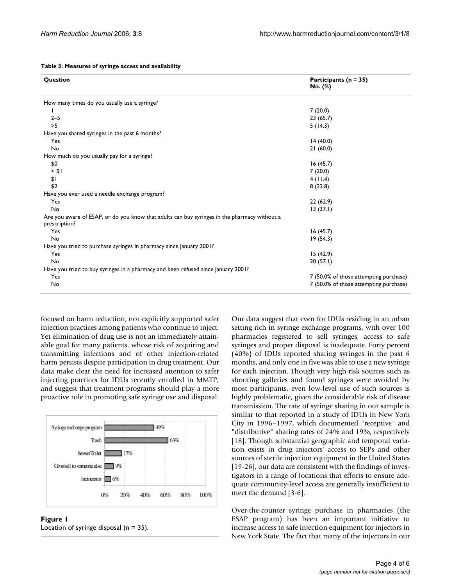| Question                                                                                                      | Participants (n = 35)<br>No. (%)       |
|---------------------------------------------------------------------------------------------------------------|----------------------------------------|
| How many times do you usually use a syringe?                                                                  |                                        |
|                                                                                                               | 7(20.0)                                |
| $2 - 5$                                                                                                       | 23(65.7)                               |
| >5                                                                                                            | 5(14.3)                                |
| Have you shared syringes in the past 6 months?                                                                |                                        |
| Yes                                                                                                           | 14(40.0)                               |
| No                                                                                                            | 21(60.0)                               |
| How much do you usually pay for a syringe?                                                                    |                                        |
| \$0                                                                                                           | 16(45.7)                               |
| $<$ \$1                                                                                                       | 7(20.0)                                |
| \$1                                                                                                           | 4(11.4)                                |
| \$2                                                                                                           | 8(22.8)                                |
| Have you ever used a needle exchange program?                                                                 |                                        |
| Yes                                                                                                           | 22(62.9)                               |
| No                                                                                                            | 13(37.1)                               |
| Are you aware of ESAP, or do you know that adults can buy syringes in the pharmacy without a<br>prescription? |                                        |
| Yes                                                                                                           | 16(45.7)                               |
| No                                                                                                            | 19 (54.3)                              |
| Have you tried to purchase syringes in pharmacy since January 2001?                                           |                                        |
| Yes                                                                                                           | 15(42.9)                               |
| No                                                                                                            | 20(57.1)                               |
| Have you tried to buy syringes in a pharmacy and been refused since January 2001?                             |                                        |
| Yes                                                                                                           | 7 (50.0% of those attempting purchase) |
| No                                                                                                            | 7 (50.0% of those attempting purchase) |

#### **Table 3: Measures of syringe access and availability**

focused on harm reduction, nor explicitly supported safer injection practices among patients who continue to inject. Yet elimination of drug use is not an immediately attainable goal for many patients, whose risk of acquiring and transmitting infections and of other injection-related harm persists despite participation in drug treatment. Our data make clear the need for increased attention to safer injecting practices for IDUs recently enrolled in MMTP, and suggest that treatment programs should play a more proactive role in promoting safe syringe use and disposal.



**Figure 1** Location of syringe disposal ( $n = 35$ ). Our data suggest that even for IDUs residing in an urban setting rich in syringe exchange programs, with over 100 pharmacies registered to sell syringes, access to safe syringes and proper disposal is inadequate. Forty percent (40%) of IDUs reported sharing syringes in the past 6 months, and only one in five was able to use a new syringe for each injection. Though very high-risk sources such as shooting galleries and found syringes were avoided by most participants, even low-level use of such sources is highly problematic, given the considerable risk of disease transmission. The rate of syringe sharing in our sample is similar to that reported in a study of IDUs in New York City in 1996–1997, which documented "receptive" and "distributive" sharing rates of 24% and 19%, respectively [18]. Though substantial geographic and temporal variation exists in drug injectors' access to SEPs and other sources of sterile injection equipment in the United States [19-26], our data are consistent with the findings of investigators in a range of locations that efforts to ensure adequate community-level access are generally insufficient to meet the demand [3-6].

Over-the-counter syringe purchase in pharmacies (the ESAP program) has been an important initiative to increase access to safe injection equipment for injectors in New York State. The fact that many of the injectors in our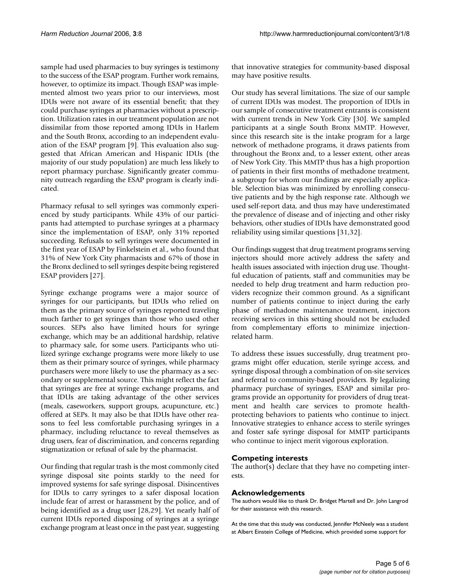sample had used pharmacies to buy syringes is testimony to the success of the ESAP program. Further work remains, however, to optimize its impact. Though ESAP was implemented almost two years prior to our interviews, most IDUs were not aware of its essential benefit; that they could purchase syringes at pharmacies without a prescription. Utilization rates in our treatment population are not dissimilar from those reported among IDUs in Harlem and the South Bronx, according to an independent evaluation of the ESAP program [9]. This evaluation also suggested that African American and Hispanic IDUs (the majority of our study population) are much less likely to report pharmacy purchase. Significantly greater community outreach regarding the ESAP program is clearly indicated.

Pharmacy refusal to sell syringes was commonly experienced by study participants. While 43% of our participants had attempted to purchase syringes at a pharmacy since the implementation of ESAP, only 31% reported succeeding. Refusals to sell syringes were documented in the first year of ESAP by Finkelstein et al., who found that 31% of New York City pharmacists and 67% of those in the Bronx declined to sell syringes despite being registered ESAP providers [27].

Syringe exchange programs were a major source of syringes for our participants, but IDUs who relied on them as the primary source of syringes reported traveling much farther to get syringes than those who used other sources. SEPs also have limited hours for syringe exchange, which may be an additional hardship, relative to pharmacy sale, for some users. Participants who utilized syringe exchange programs were more likely to use them as their primary source of syringes, while pharmacy purchasers were more likely to use the pharmacy as a secondary or supplemental source. This might reflect the fact that syringes are free at syringe exchange programs, and that IDUs are taking advantage of the other services (meals, caseworkers, support groups, acupuncture, etc.) offered at SEPs. It may also be that IDUs have other reasons to feel less comfortable purchasing syringes in a pharmacy, including reluctance to reveal themselves as drug users, fear of discrimination, and concerns regarding stigmatization or refusal of sale by the pharmacist.

Our finding that regular trash is the most commonly cited syringe disposal site points starkly to the need for improved systems for safe syringe disposal. Disincentives for IDUs to carry syringes to a safer disposal location include fear of arrest or harassment by the police, and of being identified as a drug user [28,29]. Yet nearly half of current IDUs reported disposing of syringes at a syringe exchange program at least once in the past year, suggesting that innovative strategies for community-based disposal may have positive results.

Our study has several limitations. The size of our sample of current IDUs was modest. The proportion of IDUs in our sample of consecutive treatment entrants is consistent with current trends in New York City [30]. We sampled participants at a single South Bronx MMTP. However, since this research site is the intake program for a large network of methadone programs, it draws patients from throughout the Bronx and, to a lesser extent, other areas of New York City. This MMTP thus has a high proportion of patients in their first months of methadone treatment, a subgroup for whom our findings are especially applicable. Selection bias was minimized by enrolling consecutive patients and by the high response rate. Although we used self-report data, and thus may have underestimated the prevalence of disease and of injecting and other risky behaviors, other studies of IDUs have demonstrated good reliability using similar questions [31,32].

Our findings suggest that drug treatment programs serving injectors should more actively address the safety and health issues associated with injection drug use. Thoughtful education of patients, staff and communities may be needed to help drug treatment and harm reduction providers recognize their common ground. As a significant number of patients continue to inject during the early phase of methadone maintenance treatment, injectors receiving services in this setting should not be excluded from complementary efforts to minimize injectionrelated harm.

To address these issues successfully, drug treatment programs might offer education, sterile syringe access, and syringe disposal through a combination of on-site services and referral to community-based providers. By legalizing pharmacy purchase of syringes, ESAP and similar programs provide an opportunity for providers of drug treatment and health care services to promote healthprotecting behaviors to patients who continue to inject. Innovative strategies to enhance access to sterile syringes and foster safe syringe disposal for MMTP participants who continue to inject merit vigorous exploration.

# **Competing interests**

The author(s) declare that they have no competing interests.

# **Acknowledgements**

The authors would like to thank Dr. Bridget Martell and Dr. John Langrod for their assistance with this research.

At the time that this study was conducted, Jennifer McNeely was a student at Albert Einstein College of Medicine, which provided some support for